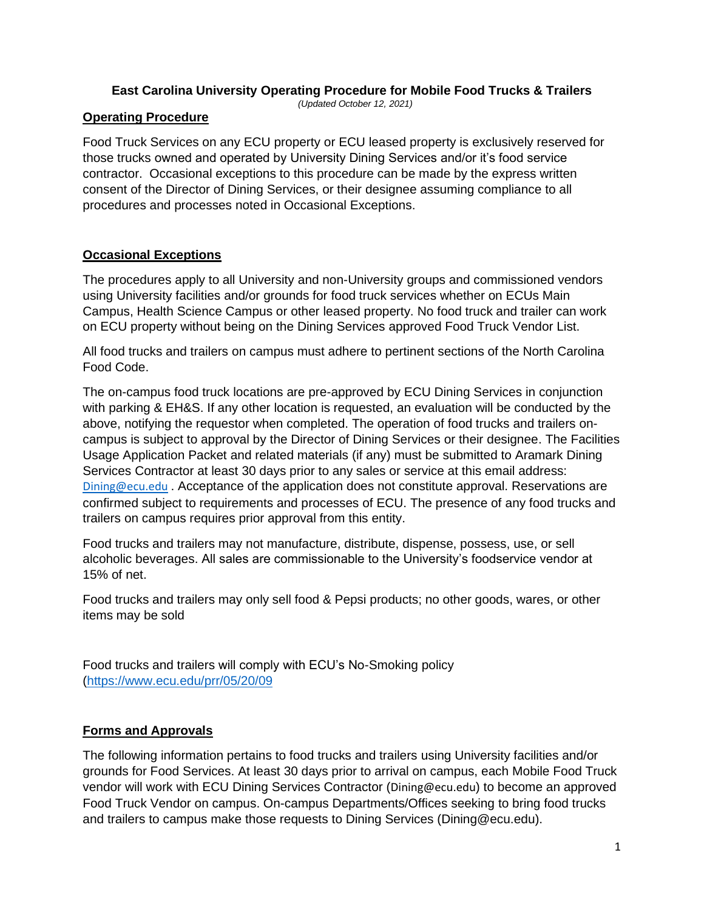#### **East Carolina University Operating Procedure for Mobile Food Trucks & Trailers**

*(Updated October 12, 2021)*

### **Operating Procedure**

Food Truck Services on any ECU property or ECU leased property is exclusively reserved for those trucks owned and operated by University Dining Services and/or it's food service contractor. Occasional exceptions to this procedure can be made by the express written consent of the Director of Dining Services, or their designee assuming compliance to all procedures and processes noted in Occasional Exceptions.

# **Occasional Exceptions**

The procedures apply to all University and non-University groups and commissioned vendors using University facilities and/or grounds for food truck services whether on ECUs Main Campus, Health Science Campus or other leased property. No food truck and trailer can work on ECU property without being on the Dining Services approved Food Truck Vendor List.

All food trucks and trailers on campus must adhere to pertinent sections of the North Carolina Food Code.

The on-campus food truck locations are pre-approved by ECU Dining Services in conjunction with parking & EH&S. If any other location is requested, an evaluation will be conducted by the above, notifying the requestor when completed. The operation of food trucks and trailers oncampus is subject to approval by the Director of Dining Services or their designee. The Facilities Usage Application Packet and related materials (if any) must be submitted to Aramark Dining Services Contractor at least 30 days prior to any sales or service at this email address: [Dining@ecu.edu](mailto:Dining@ecu.edu) . Acceptance of the application does not constitute approval. Reservations are confirmed subject to requirements and processes of ECU. The presence of any food trucks and trailers on campus requires prior approval from this entity.

Food trucks and trailers may not manufacture, distribute, dispense, possess, use, or sell alcoholic beverages. All sales are commissionable to the University's foodservice vendor at 15% of net.

Food trucks and trailers may only sell food & Pepsi products; no other goods, wares, or other items may be sold

Food trucks and trailers will comply with ECU's No-Smoking policy [\(https://www.ecu.edu/prr/05/20/09](https://www.ecu.edu/prr/05/20/09)

# **Forms and Approvals**

The following information pertains to food trucks and trailers using University facilities and/or grounds for Food Services. At least 30 days prior to arrival on campus, each Mobile Food Truck vendor will work with ECU Dining Services Contractor (Dining@ecu.edu) to become an approved Food Truck Vendor on campus. On-campus Departments/Offices seeking to bring food trucks and trailers to campus make those requests to Dining Services (Dining@ecu.edu).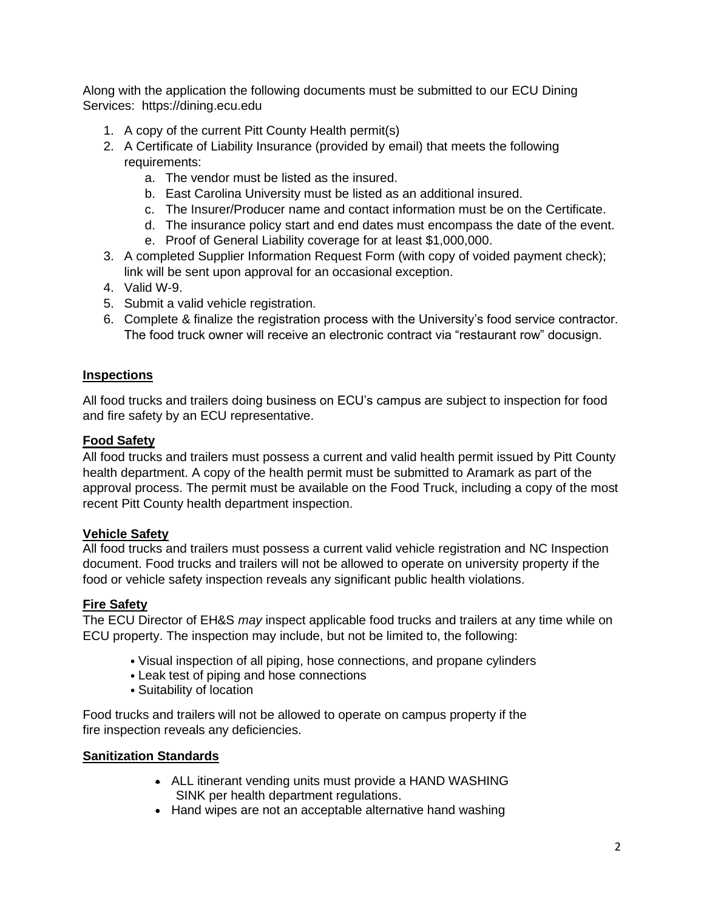Along with the application the following documents must be submitted to our ECU Dining Services: https://dining.ecu.edu

- 1. A copy of the current Pitt County Health permit(s)
- 2. A Certificate of Liability Insurance (provided by email) that meets the following requirements:
	- a. The vendor must be listed as the insured.
	- b. East Carolina University must be listed as an additional insured.
	- c. The Insurer/Producer name and contact information must be on the Certificate.
	- d. The insurance policy start and end dates must encompass the date of the event.
	- e. Proof of General Liability coverage for at least \$1,000,000.
- 3. A completed Supplier Information Request Form (with copy of voided payment check); link will be sent upon approval for an occasional exception.
- 4. Valid W-9.
- 5. Submit a valid vehicle registration.
- 6. Complete & finalize the registration process with the University's food service contractor. The food truck owner will receive an electronic contract via "restaurant row" docusign.

### **Inspections**

All food trucks and trailers doing business on ECU's campus are subject to inspection for food and fire safety by an ECU representative.

#### **Food Safety**

All food trucks and trailers must possess a current and valid health permit issued by Pitt County health department. A copy of the health permit must be submitted to Aramark as part of the approval process. The permit must be available on the Food Truck, including a copy of the most recent Pitt County health department inspection.

# **Vehicle Safety**

All food trucks and trailers must possess a current valid vehicle registration and NC Inspection document. Food trucks and trailers will not be allowed to operate on university property if the food or vehicle safety inspection reveals any significant public health violations.

# **Fire Safety**

The ECU Director of EH&S *may* inspect applicable food trucks and trailers at any time while on ECU property. The inspection may include, but not be limited to, the following:

- Visual inspection of all piping, hose connections, and propane cylinders
- Leak test of piping and hose connections
- Suitability of location

Food trucks and trailers will not be allowed to operate on campus property if the fire inspection reveals any deficiencies.

#### **Sanitization Standards**

- ALL itinerant vending units must provide a HAND WASHING SINK per health department regulations.
- Hand wipes are not an acceptable alternative hand washing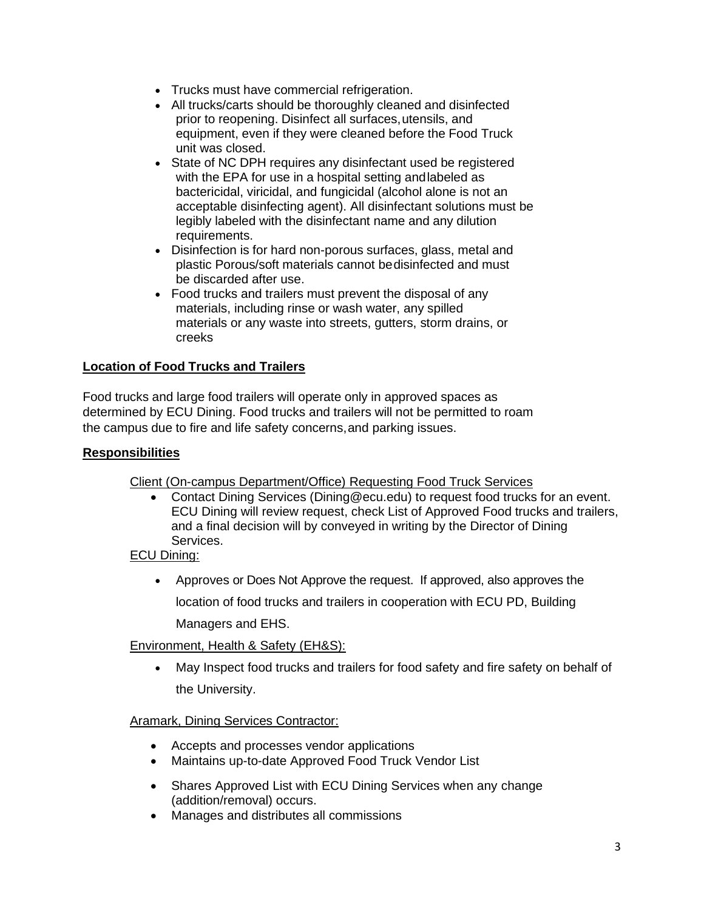- Trucks must have commercial refrigeration.
- All trucks/carts should be thoroughly cleaned and disinfected prior to reopening. Disinfect all surfaces, utensils, and equipment, even if they were cleaned before the Food Truck unit was closed.
- State of NC DPH requires any disinfectant used be registered with the EPA for use in a hospital setting andlabeled as bactericidal, viricidal, and fungicidal (alcohol alone is not an acceptable disinfecting agent). All disinfectant solutions must be legibly labeled with the disinfectant name and any dilution requirements.
- Disinfection is for hard non-porous surfaces, glass, metal and plastic Porous/soft materials cannot bedisinfected and must be discarded after use.
- Food trucks and trailers must prevent the disposal of any materials, including rinse or wash water, any spilled materials or any waste into streets, gutters, storm drains, or creeks

# **Location of Food Trucks and Trailers**

Food trucks and large food trailers will operate only in approved spaces as determined by ECU Dining. Food trucks and trailers will not be permitted to roam the campus due to fire and life safety concerns,and parking issues.

### **Responsibilities**

Client (On-campus Department/Office) Requesting Food Truck Services

• Contact Dining Services (Dining@ecu.edu) to request food trucks for an event. ECU Dining will review request, check List of Approved Food trucks and trailers, and a final decision will by conveyed in writing by the Director of Dining Services.

# ECU Dining:

• Approves or Does Not Approve the request. If approved, also approves the location of food trucks and trailers in cooperation with ECU PD, Building Managers and EHS.

# Environment, Health & Safety (EH&S):

• May Inspect food trucks and trailers for food safety and fire safety on behalf of the University.

# Aramark, Dining Services Contractor:

- Accepts and processes vendor applications
- Maintains up-to-date Approved Food Truck Vendor List
- Shares Approved List with ECU Dining Services when any change (addition/removal) occurs.
- Manages and distributes all commissions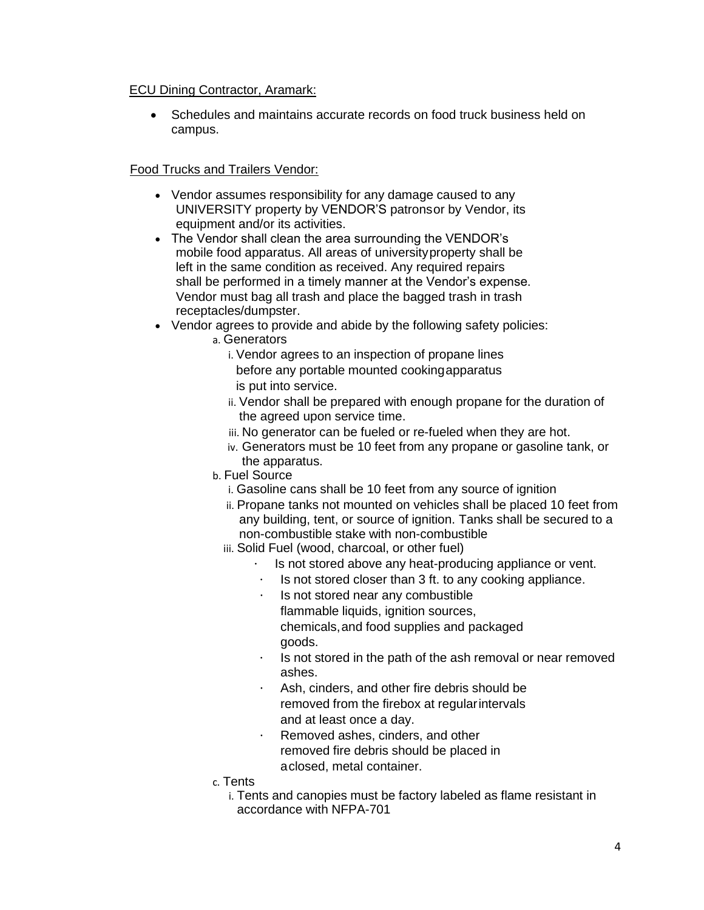#### ECU Dining Contractor, Aramark:

• Schedules and maintains accurate records on food truck business held on campus.

# Food Trucks and Trailers Vendor:

- Vendor assumes responsibility for any damage caused to any UNIVERSITY property by VENDOR'S patronsor by Vendor, its equipment and/or its activities.
- The Vendor shall clean the area surrounding the VENDOR's mobile food apparatus. All areas of universityproperty shall be left in the same condition as received. Any required repairs shall be performed in a timely manner at the Vendor's expense. Vendor must bag all trash and place the bagged trash in trash receptacles/dumpster.
- Vendor agrees to provide and abide by the following safety policies:
	- a. Generators
		- i. Vendor agrees to an inspection of propane lines before any portable mounted cookingapparatus is put into service.
		- ii. Vendor shall be prepared with enough propane for the duration of the agreed upon service time.
		- iii. No generator can be fueled or re-fueled when they are hot.
		- iv. Generators must be 10 feet from any propane or gasoline tank, or the apparatus.
	- b. Fuel Source
		- i. Gasoline cans shall be 10 feet from any source of ignition
		- ii. Propane tanks not mounted on vehicles shall be placed 10 feet from any building, tent, or source of ignition. Tanks shall be secured to a non-combustible stake with non-combustible
		- iii. Solid Fuel (wood, charcoal, or other fuel)
			- Is not stored above any heat-producing appliance or vent.
			- $\cdot$  Is not stored closer than 3 ft. to any cooking appliance.
			- Is not stored near any combustible
				- flammable liquids, ignition sources,
				- chemicals,and food supplies and packaged goods.
			- $\cdot$  Is not stored in the path of the ash removal or near removed ashes.
			- Ash, cinders, and other fire debris should be removed from the firebox at regularintervals and at least once a day.
			- Removed ashes, cinders, and other removed fire debris should be placed in aclosed, metal container.
	- c. Tents
		- i. Tents and canopies must be factory labeled as flame resistant in accordance with NFPA-701